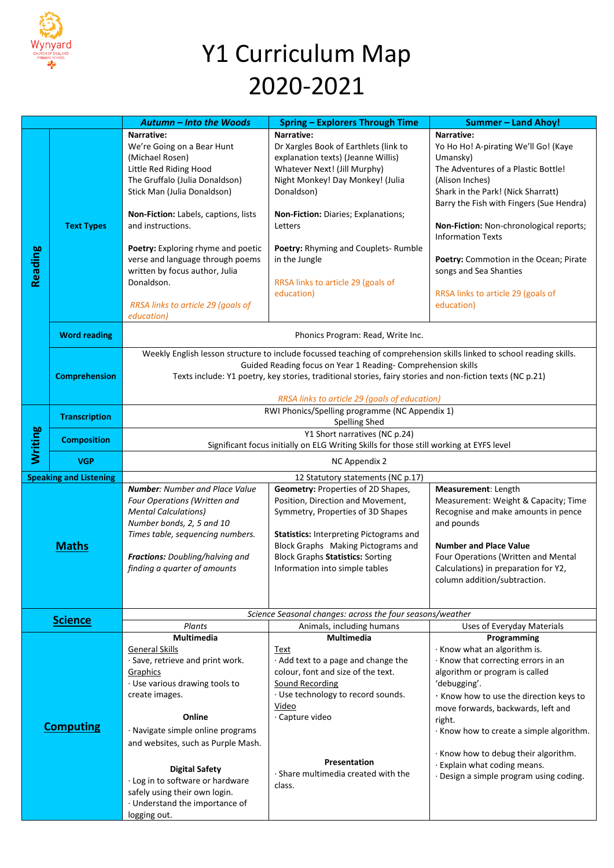

## Y1 Curriculum Map 2020-2021

|                               |                      | <b>Autumn - Into the Woods</b>                                                                                        | <b>Spring - Explorers Through Time</b>                                  | <b>Summer - Land Ahoy!</b>                                                     |  |  |
|-------------------------------|----------------------|-----------------------------------------------------------------------------------------------------------------------|-------------------------------------------------------------------------|--------------------------------------------------------------------------------|--|--|
|                               |                      | Narrative:                                                                                                            | Narrative:                                                              | Narrative:                                                                     |  |  |
|                               |                      | We're Going on a Bear Hunt                                                                                            | Dr Xargles Book of Earthlets (link to                                   | Yo Ho Ho! A-pirating We'll Go! (Kaye                                           |  |  |
| <b>Reading</b>                |                      | (Michael Rosen)                                                                                                       | explanation texts) (Jeanne Willis)                                      | Umansky)                                                                       |  |  |
|                               |                      | Little Red Riding Hood                                                                                                | Whatever Next! (Jill Murphy)                                            | The Adventures of a Plastic Bottle!                                            |  |  |
|                               |                      | The Gruffalo (Julia Donaldson)                                                                                        | Night Monkey! Day Monkey! (Julia                                        | (Alison Inches)                                                                |  |  |
|                               |                      | Stick Man (Julia Donaldson)                                                                                           | Donaldson)                                                              | Shark in the Park! (Nick Sharratt)<br>Barry the Fish with Fingers (Sue Hendra) |  |  |
|                               |                      | Non-Fiction: Labels, captions, lists                                                                                  | Non-Fiction: Diaries; Explanations;                                     |                                                                                |  |  |
|                               | <b>Text Types</b>    | and instructions.                                                                                                     | Letters                                                                 | Non-Fiction: Non-chronological reports;                                        |  |  |
|                               |                      |                                                                                                                       |                                                                         | <b>Information Texts</b>                                                       |  |  |
|                               |                      | Poetry: Exploring rhyme and poetic                                                                                    | Poetry: Rhyming and Couplets- Rumble                                    |                                                                                |  |  |
|                               |                      | verse and language through poems                                                                                      | in the Jungle                                                           | Poetry: Commotion in the Ocean; Pirate                                         |  |  |
|                               |                      | written by focus author, Julia                                                                                        |                                                                         | songs and Sea Shanties                                                         |  |  |
|                               |                      | Donaldson.                                                                                                            | RRSA links to article 29 (goals of                                      |                                                                                |  |  |
|                               |                      |                                                                                                                       | education)                                                              | RRSA links to article 29 (goals of                                             |  |  |
|                               |                      | RRSA links to article 29 (goals of<br>education)                                                                      |                                                                         | education)                                                                     |  |  |
|                               |                      |                                                                                                                       |                                                                         |                                                                                |  |  |
|                               | <b>Word reading</b>  | Phonics Program: Read, Write Inc.                                                                                     |                                                                         |                                                                                |  |  |
|                               |                      | Weekly English lesson structure to include focussed teaching of comprehension skills linked to school reading skills. |                                                                         |                                                                                |  |  |
|                               |                      | Guided Reading focus on Year 1 Reading- Comprehension skills                                                          |                                                                         |                                                                                |  |  |
|                               | <b>Comprehension</b> | Texts include: Y1 poetry, key stories, traditional stories, fairy stories and non-fiction texts (NC p.21)             |                                                                         |                                                                                |  |  |
|                               |                      |                                                                                                                       |                                                                         |                                                                                |  |  |
|                               |                      |                                                                                                                       | RRSA links to article 29 (goals of education)                           |                                                                                |  |  |
|                               | <b>Transcription</b> |                                                                                                                       | RWI Phonics/Spelling programme (NC Appendix 1)                          |                                                                                |  |  |
|                               |                      |                                                                                                                       | <b>Spelling Shed</b>                                                    |                                                                                |  |  |
|                               | <b>Composition</b>   | Y1 Short narratives (NC p.24)                                                                                         |                                                                         |                                                                                |  |  |
| <b>Writing</b>                |                      | Significant focus initially on ELG Writing Skills for those still working at EYFS level                               |                                                                         |                                                                                |  |  |
|                               | <b>VGP</b>           | NC Appendix 2                                                                                                         |                                                                         |                                                                                |  |  |
| <b>Speaking and Listening</b> |                      |                                                                                                                       | 12 Statutory statements (NC p.17)                                       |                                                                                |  |  |
|                               |                      | <b>Number:</b> Number and Place Value                                                                                 | Geometry: Properties of 2D Shapes,<br>Position, Direction and Movement, | Measurement: Length<br>Measurement: Weight & Capacity; Time                    |  |  |
|                               |                      | Four Operations (Written and<br><b>Mental Calculations)</b>                                                           | Symmetry, Properties of 3D Shapes                                       | Recognise and make amounts in pence                                            |  |  |
|                               |                      | Number bonds, 2, 5 and 10                                                                                             |                                                                         | and pounds                                                                     |  |  |
|                               |                      | Times table, sequencing numbers.                                                                                      | Statistics: Interpreting Pictograms and                                 |                                                                                |  |  |
|                               | <b>Maths</b>         |                                                                                                                       | Block Graphs Making Pictograms and                                      | <b>Number and Place Value</b>                                                  |  |  |
|                               |                      | Fractions: Doubling/halving and                                                                                       | <b>Block Graphs Statistics: Sorting</b>                                 | Four Operations (Written and Mental                                            |  |  |
|                               |                      | finding a quarter of amounts                                                                                          | Information into simple tables                                          | Calculations) in preparation for Y2,                                           |  |  |
|                               |                      |                                                                                                                       |                                                                         | column addition/subtraction.                                                   |  |  |
|                               |                      |                                                                                                                       |                                                                         |                                                                                |  |  |
|                               |                      | Science Seasonal changes: across the four seasons/weather                                                             |                                                                         |                                                                                |  |  |
| <b>Science</b>                |                      | Plants                                                                                                                | Animals, including humans                                               | Uses of Everyday Materials                                                     |  |  |
|                               |                      | <b>Multimedia</b>                                                                                                     | <b>Multimedia</b>                                                       | Programming                                                                    |  |  |
|                               |                      | <b>General Skills</b>                                                                                                 | Text                                                                    | · Know what an algorithm is.                                                   |  |  |
|                               |                      | · Save, retrieve and print work.                                                                                      | · Add text to a page and change the                                     | · Know that correcting errors in an                                            |  |  |
|                               |                      | Graphics                                                                                                              | colour, font and size of the text.                                      | algorithm or program is called                                                 |  |  |
|                               |                      | · Use various drawing tools to                                                                                        | Sound Recording                                                         | 'debugging'.                                                                   |  |  |
|                               |                      | create images.                                                                                                        | · Use technology to record sounds.                                      | · Know how to use the direction keys to                                        |  |  |
|                               |                      | Online                                                                                                                | Video<br>· Capture video                                                | move forwards, backwards, left and                                             |  |  |
|                               | <b>Computing</b>     | · Navigate simple online programs                                                                                     |                                                                         | right.                                                                         |  |  |
|                               |                      | and websites, such as Purple Mash.                                                                                    |                                                                         | · Know how to create a simple algorithm.                                       |  |  |
|                               |                      |                                                                                                                       |                                                                         | · Know how to debug their algorithm.                                           |  |  |
|                               |                      |                                                                                                                       | Presentation                                                            | · Explain what coding means.                                                   |  |  |
|                               |                      | <b>Digital Safety</b><br>· Log in to software or hardware                                                             | · Share multimedia created with the                                     | · Design a simple program using coding.                                        |  |  |
|                               |                      | safely using their own login.                                                                                         | class.                                                                  |                                                                                |  |  |
|                               |                      | · Understand the importance of                                                                                        |                                                                         |                                                                                |  |  |
|                               |                      | logging out.                                                                                                          |                                                                         |                                                                                |  |  |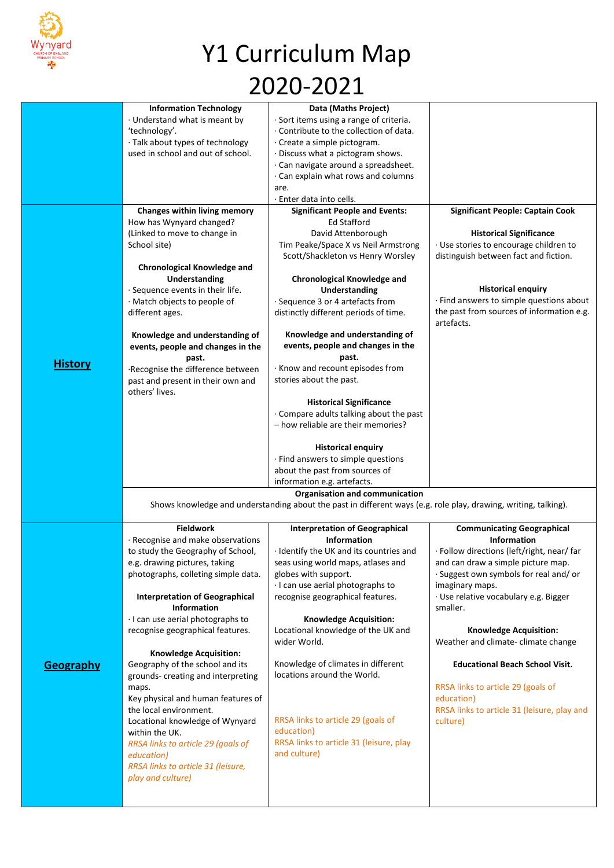

## Y1 Curriculum Map 2020-2021

|                  | <b>Information Technology</b>                     | Data (Maths Project)                                                                                                                                     |                                             |
|------------------|---------------------------------------------------|----------------------------------------------------------------------------------------------------------------------------------------------------------|---------------------------------------------|
|                  | · Understand what is meant by                     | · Sort items using a range of criteria.                                                                                                                  |                                             |
|                  | 'technology'.                                     | Contribute to the collection of data.                                                                                                                    |                                             |
|                  | · Talk about types of technology                  | · Create a simple pictogram.                                                                                                                             |                                             |
|                  | used in school and out of school.                 | · Discuss what a pictogram shows.                                                                                                                        |                                             |
|                  |                                                   | · Can navigate around a spreadsheet.                                                                                                                     |                                             |
|                  |                                                   | · Can explain what rows and columns                                                                                                                      |                                             |
|                  |                                                   |                                                                                                                                                          |                                             |
|                  |                                                   | are.                                                                                                                                                     |                                             |
|                  |                                                   | · Enter data into cells.                                                                                                                                 |                                             |
|                  | Changes within living memory                      | <b>Significant People and Events:</b>                                                                                                                    | <b>Significant People: Captain Cook</b>     |
|                  | How has Wynyard changed?                          | <b>Ed Stafford</b>                                                                                                                                       |                                             |
|                  | (Linked to move to change in                      | David Attenborough                                                                                                                                       | <b>Historical Significance</b>              |
|                  | School site)                                      | Tim Peake/Space X vs Neil Armstrong                                                                                                                      | · Use stories to encourage children to      |
|                  |                                                   | Scott/Shackleton vs Henry Worsley                                                                                                                        | distinguish between fact and fiction.       |
|                  | <b>Chronological Knowledge and</b>                |                                                                                                                                                          |                                             |
|                  | Understanding                                     | <b>Chronological Knowledge and</b>                                                                                                                       |                                             |
|                  | Sequence events in their life.                    | <b>Understanding</b>                                                                                                                                     | <b>Historical enquiry</b>                   |
|                  | · Match objects to people of                      | · Sequence 3 or 4 artefacts from                                                                                                                         | · Find answers to simple questions about    |
|                  | different ages.                                   | distinctly different periods of time.                                                                                                                    | the past from sources of information e.g.   |
|                  |                                                   |                                                                                                                                                          | artefacts.                                  |
|                  | Knowledge and understanding of                    | Knowledge and understanding of                                                                                                                           |                                             |
|                  | events, people and changes in the                 | events, people and changes in the                                                                                                                        |                                             |
|                  | past.                                             | past.                                                                                                                                                    |                                             |
| <b>History</b>   | Recognise the difference between                  | · Know and recount episodes from                                                                                                                         |                                             |
|                  | past and present in their own and                 | stories about the past.                                                                                                                                  |                                             |
|                  | others' lives.                                    |                                                                                                                                                          |                                             |
|                  |                                                   | <b>Historical Significance</b>                                                                                                                           |                                             |
|                  |                                                   | · Compare adults talking about the past                                                                                                                  |                                             |
|                  |                                                   | - how reliable are their memories?                                                                                                                       |                                             |
|                  |                                                   |                                                                                                                                                          |                                             |
|                  |                                                   | <b>Historical enquiry</b>                                                                                                                                |                                             |
|                  |                                                   | · Find answers to simple questions                                                                                                                       |                                             |
|                  |                                                   |                                                                                                                                                          |                                             |
|                  |                                                   |                                                                                                                                                          |                                             |
|                  |                                                   | about the past from sources of                                                                                                                           |                                             |
|                  |                                                   | information e.g. artefacts.                                                                                                                              |                                             |
|                  |                                                   | <b>Organisation and communication</b><br>Shows knowledge and understanding about the past in different ways (e.g. role play, drawing, writing, talking). |                                             |
|                  |                                                   |                                                                                                                                                          |                                             |
|                  | <b>Fieldwork</b>                                  | <b>Interpretation of Geographical</b>                                                                                                                    | <b>Communicating Geographical</b>           |
|                  | Recognise and make observations                   | <b>Information</b>                                                                                                                                       | <b>Information</b>                          |
|                  | to study the Geography of School,                 | · Identify the UK and its countries and                                                                                                                  | · Follow directions (left/right, near/ far  |
|                  | e.g. drawing pictures, taking                     | seas using world maps, atlases and                                                                                                                       | and can draw a simple picture map.          |
|                  | photographs, colleting simple data.               | globes with support.                                                                                                                                     | · Suggest own symbols for real and/ or      |
|                  |                                                   | · I can use aerial photographs to                                                                                                                        | imaginary maps.                             |
|                  | <b>Interpretation of Geographical</b>             | recognise geographical features.                                                                                                                         | · Use relative vocabulary e.g. Bigger       |
|                  | <b>Information</b>                                |                                                                                                                                                          | smaller.                                    |
|                  | · I can use aerial photographs to                 | <b>Knowledge Acquisition:</b>                                                                                                                            |                                             |
|                  | recognise geographical features.                  | Locational knowledge of the UK and                                                                                                                       | <b>Knowledge Acquisition:</b>               |
|                  |                                                   | wider World.                                                                                                                                             | Weather and climate- climate change         |
|                  | <b>Knowledge Acquisition:</b>                     |                                                                                                                                                          |                                             |
|                  | Geography of the school and its                   | Knowledge of climates in different                                                                                                                       | <b>Educational Beach School Visit.</b>      |
| <b>Geography</b> | grounds- creating and interpreting                | locations around the World.                                                                                                                              |                                             |
|                  | maps.                                             |                                                                                                                                                          | RRSA links to article 29 (goals of          |
|                  | Key physical and human features of                |                                                                                                                                                          | education)                                  |
|                  | the local environment.                            |                                                                                                                                                          |                                             |
|                  |                                                   | RRSA links to article 29 (goals of                                                                                                                       | RRSA links to article 31 (leisure, play and |
|                  | Locational knowledge of Wynyard<br>within the UK. | education)                                                                                                                                               | culture)                                    |
|                  |                                                   |                                                                                                                                                          |                                             |
|                  | RRSA links to article 29 (goals of                | RRSA links to article 31 (leisure, play<br>and culture)                                                                                                  |                                             |
|                  | education)                                        |                                                                                                                                                          |                                             |
|                  | RRSA links to article 31 (leisure,                |                                                                                                                                                          |                                             |
|                  | play and culture)                                 |                                                                                                                                                          |                                             |
|                  |                                                   |                                                                                                                                                          |                                             |